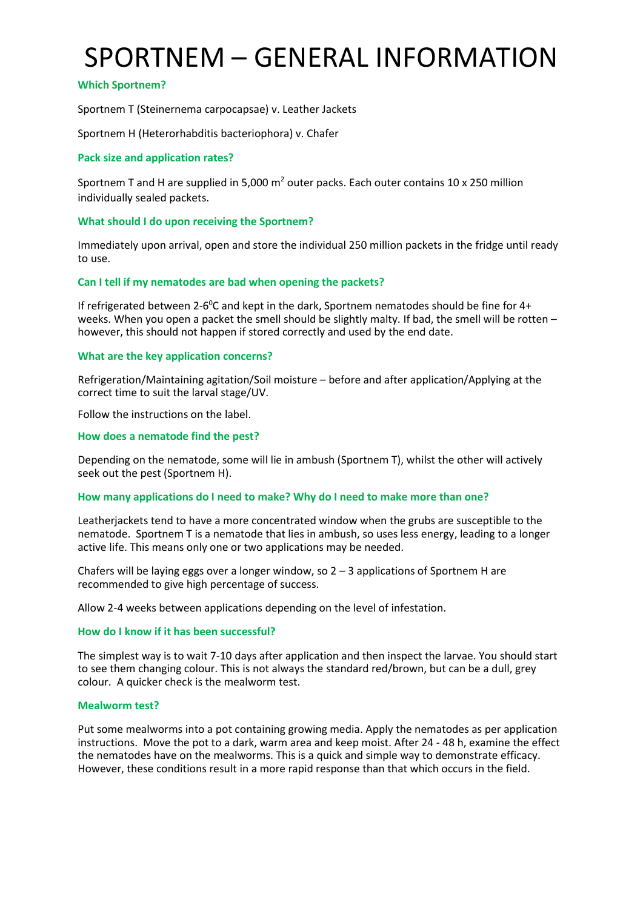# SPORTNEM – GENERAL INFORMATION

# **Which Sportnem?**

Sportnem T (Steinernema carpocapsae) v. Leather Jackets

Sportnem H (Heterorhabditis bacteriophora) v. Chafer

# **Pack size and application rates?**

Sportnem T and H are supplied in 5,000  $m^2$  outer packs. Each outer contains 10 x 250 million individually sealed packets.

## **What should I do upon receiving the Sportnem?**

Immediately upon arrival, open and store the individual 250 million packets in the fridge until ready to use.

## **Can I tell if my nematodes are bad when opening the packets?**

If refrigerated between 2-6<sup>0</sup>C and kept in the dark, Sportnem nematodes should be fine for  $4+$ weeks. When you open a packet the smell should be slightly malty. If bad, the smell will be rotten – however, this should not happen if stored correctly and used by the end date.

## **What are the key application concerns?**

Refrigeration/Maintaining agitation/Soil moisture – before and after application/Applying at the correct time to suit the larval stage/UV.

Follow the instructions on the label.

### **How does a nematode find the pest?**

Depending on the nematode, some will lie in ambush (Sportnem T), whilst the other will actively seek out the pest (Sportnem H).

### **How many applications do I need to make? Why do I need to make more than one?**

Leatherjackets tend to have a more concentrated window when the grubs are susceptible to the nematode. Sportnem T is a nematode that lies in ambush, so uses less energy, leading to a longer active life. This means only one or two applications may be needed.

Chafers will be laying eggs over a longer window, so  $2 - 3$  applications of Sportnem H are recommended to give high percentage of success.

Allow 2-4 weeks between applications depending on the level of infestation.

### **How do I know if it has been successful?**

The simplest way is to wait 7-10 days after application and then inspect the larvae. You should start to see them changing colour. This is not always the standard red/brown, but can be a dull, grey colour. A quicker check is the mealworm test.

### **Mealworm test?**

Put some mealworms into a pot containing growing media. Apply the nematodes as per application instructions. Move the pot to a dark, warm area and keep moist. After 24 - 48 h, examine the effect the nematodes have on the mealworms. This is a quick and simple way to demonstrate efficacy. However, these conditions result in a more rapid response than that which occurs in the field.